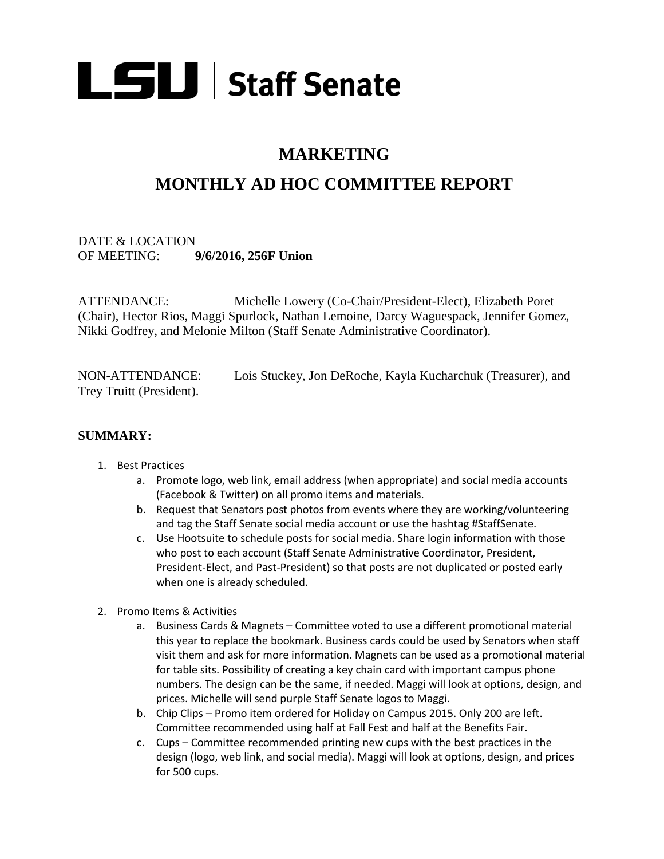

# **MARKETING**

# **MONTHLY AD HOC COMMITTEE REPORT**

## DATE & LOCATION OF MEETING: **9/6/2016, 256F Union**

ATTENDANCE: Michelle Lowery (Co-Chair/President-Elect), Elizabeth Poret (Chair), Hector Rios, Maggi Spurlock, Nathan Lemoine, Darcy Waguespack, Jennifer Gomez, Nikki Godfrey, and Melonie Milton (Staff Senate Administrative Coordinator).

NON-ATTENDANCE: Lois Stuckey, Jon DeRoche, Kayla Kucharchuk (Treasurer), and Trey Truitt (President).

#### **SUMMARY:**

- 1. Best Practices
	- a. Promote logo, web link, email address (when appropriate) and social media accounts (Facebook & Twitter) on all promo items and materials.
	- b. Request that Senators post photos from events where they are working/volunteering and tag the Staff Senate social media account or use the hashtag #StaffSenate.
	- c. Use Hootsuite to schedule posts for social media. Share login information with those who post to each account (Staff Senate Administrative Coordinator, President, President-Elect, and Past-President) so that posts are not duplicated or posted early when one is already scheduled.
- 2. Promo Items & Activities
	- a. Business Cards & Magnets Committee voted to use a different promotional material this year to replace the bookmark. Business cards could be used by Senators when staff visit them and ask for more information. Magnets can be used as a promotional material for table sits. Possibility of creating a key chain card with important campus phone numbers. The design can be the same, if needed. Maggi will look at options, design, and prices. Michelle will send purple Staff Senate logos to Maggi.
	- b. Chip Clips Promo item ordered for Holiday on Campus 2015. Only 200 are left. Committee recommended using half at Fall Fest and half at the Benefits Fair.
	- c. Cups Committee recommended printing new cups with the best practices in the design (logo, web link, and social media). Maggi will look at options, design, and prices for 500 cups.